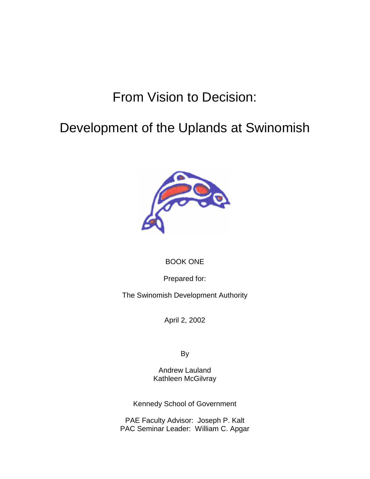# From Vision to Decision:

# Development of the Uplands at Swinomish



# BOOK ONE

Prepared for:

The Swinomish Development Authority

April 2, 2002

By

Andrew Lauland Kathleen McGilvray

Kennedy School of Government

PAE Faculty Advisor: Joseph P. Kalt PAC Seminar Leader: William C. Apgar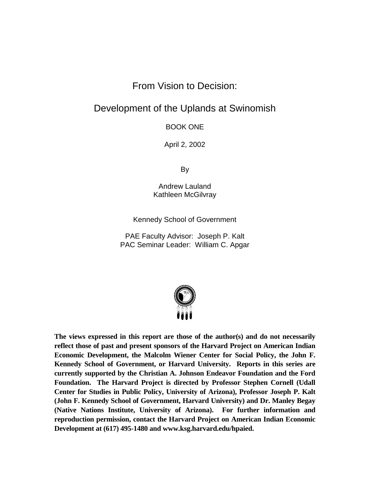# From Vision to Decision:

# Development of the Uplands at Swinomish

BOOK ONE

April 2, 2002

By

Andrew Lauland Kathleen McGilvray

Kennedy School of Government

PAE Faculty Advisor: Joseph P. Kalt PAC Seminar Leader: William C. Apgar



**The views expressed in this report are those of the author(s) and do not necessarily reflect those of past and present sponsors of the Harvard Project on American Indian Economic Development, the Malcolm Wiener Center for Social Policy, the John F. Kennedy School of Government, or Harvard University. Reports in this series are currently supported by the Christian A. Johnson Endeavor Foundation and the Ford Foundation. The Harvard Project is directed by Professor Stephen Cornell (Udall Center for Studies in Public Policy, University of Arizona), Professor Joseph P. Kalt (John F. Kennedy School of Government, Harvard University) and Dr. Manley Begay (Native Nations Institute, University of Arizona). For further information and reproduction permission, contact the Harvard Project on American Indian Economic Development at (617) 495-1480 and www.ksg.harvard.edu/hpaied.**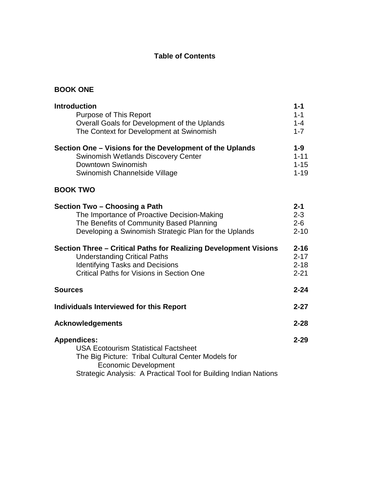# **Table of Contents**

# **BOOK ONE**

| <b>Introduction</b>                                              | $1 - 1$  |
|------------------------------------------------------------------|----------|
| <b>Purpose of This Report</b>                                    | $1 - 1$  |
| Overall Goals for Development of the Uplands                     | $1 - 4$  |
| The Context for Development at Swinomish                         | $1 - 7$  |
| Section One – Visions for the Development of the Uplands         | $1-9$    |
| <b>Swinomish Wetlands Discovery Center</b>                       | $1 - 11$ |
| Downtown Swinomish                                               | $1 - 15$ |
| Swinomish Channelside Village                                    | $1 - 19$ |
| <b>BOOK TWO</b>                                                  |          |
| Section Two - Choosing a Path                                    | $2 - 1$  |
| The Importance of Proactive Decision-Making                      | $2 - 3$  |
| The Benefits of Community Based Planning                         | $2 - 6$  |
| Developing a Swinomish Strategic Plan for the Uplands            | $2 - 10$ |
| Section Three - Critical Paths for Realizing Development Visions | $2 - 16$ |
| <b>Understanding Critical Paths</b>                              | $2 - 17$ |
| <b>Identifying Tasks and Decisions</b>                           | $2 - 18$ |
| <b>Critical Paths for Visions in Section One</b>                 | $2 - 21$ |
| <b>Sources</b>                                                   | $2 - 24$ |
| Individuals Interviewed for this Report                          | $2 - 27$ |
| <b>Acknowledgements</b>                                          | $2 - 28$ |
| <b>Appendices:</b>                                               | $2 - 29$ |
| <b>USA Ecotourism Statistical Factsheet</b>                      |          |
| The Big Picture: Tribal Cultural Center Models for               |          |
| <b>Economic Development</b>                                      |          |
| Strategic Analysis: A Practical Tool for Building Indian Nations |          |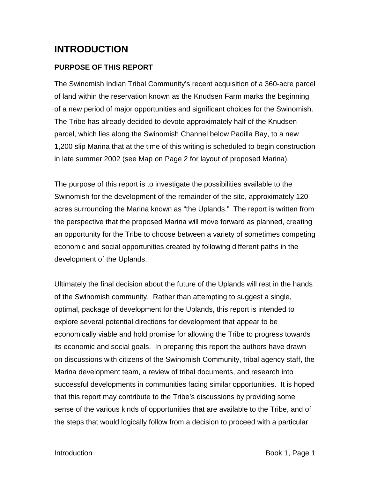# **INTRODUCTION**

# **PURPOSE OF THIS REPORT**

The Swinomish Indian Tribal Community's recent acquisition of a 360-acre parcel of land within the reservation known as the Knudsen Farm marks the beginning of a new period of major opportunities and significant choices for the Swinomish. The Tribe has already decided to devote approximately half of the Knudsen parcel, which lies along the Swinomish Channel below Padilla Bay, to a new 1,200 slip Marina that at the time of this writing is scheduled to begin construction in late summer 2002 (see Map on Page 2 for layout of proposed Marina).

The purpose of this report is to investigate the possibilities available to the Swinomish for the development of the remainder of the site, approximately 120 acres surrounding the Marina known as "the Uplands." The report is written from the perspective that the proposed Marina will move forward as planned, creating an opportunity for the Tribe to choose between a variety of sometimes competing economic and social opportunities created by following different paths in the development of the Uplands.

Ultimately the final decision about the future of the Uplands will rest in the hands of the Swinomish community. Rather than attempting to suggest a single, optimal, package of development for the Uplands, this report is intended to explore several potential directions for development that appear to be economically viable and hold promise for allowing the Tribe to progress towards its economic and social goals. In preparing this report the authors have drawn on discussions with citizens of the Swinomish Community, tribal agency staff, the Marina development team, a review of tribal documents, and research into successful developments in communities facing similar opportunities.It is hoped that this report may contribute to the Tribe's discussions by providing some sense of the various kinds of opportunities that are available to the Tribe, and of the steps that would logically follow from a decision to proceed with a particular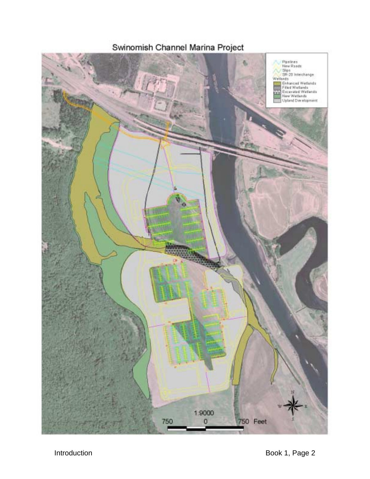Swinomish Channel Marina Project

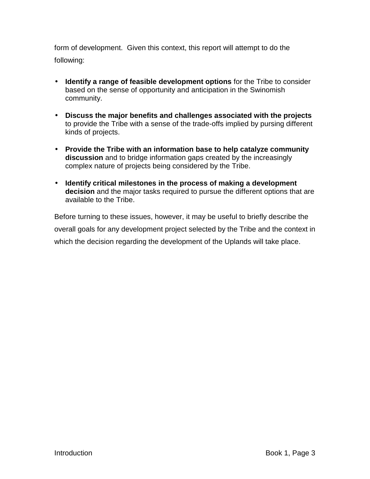form of development. Given this context, this report will attempt to do the following:

- **Identify a range of feasible development options** for the Tribe to consider based on the sense of opportunity and anticipation in the Swinomish community.
- **Discuss the major benefits and challenges associated with the projects** to provide the Tribe with a sense of the trade-offs implied by pursing different kinds of projects.
- **Provide the Tribe with an information base to help catalyze community discussion** and to bridge information gaps created by the increasingly complex nature of projects being considered by the Tribe.
- **Identify critical milestones in the process of making a development decision** and the major tasks required to pursue the different options that are available to the Tribe.

Before turning to these issues, however, it may be useful to briefly describe the overall goals for any development project selected by the Tribe and the context in which the decision regarding the development of the Uplands will take place.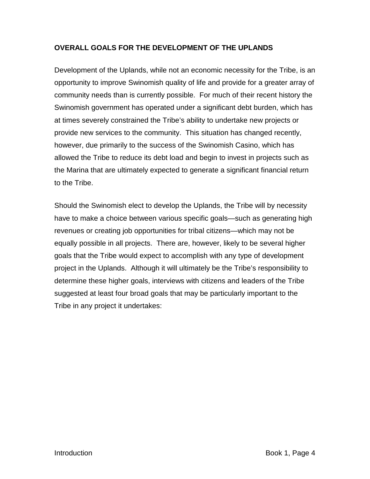# **OVERALL GOALS FOR THE DEVELOPMENT OF THE UPLANDS**

Development of the Uplands, while not an economic necessity for the Tribe, is an opportunity to improve Swinomish quality of life and provide for a greater array of community needs than is currently possible.For much of their recent history the Swinomish government has operated under a significant debt burden, which has at times severely constrained the Tribe's ability to undertake new projects or provide new services to the community. This situation has changed recently, however, due primarily to the success of the Swinomish Casino, which has allowed the Tribe to reduce its debt load and begin to invest in projects such as the Marina that are ultimately expected to generate a significant financial return to the Tribe.

Should the Swinomish elect to develop the Uplands, the Tribe will by necessity have to make a choice between various specific goals—such as generating high revenues or creating job opportunities for tribal citizens—which may not be equally possible in all projects. There are, however, likely to be several higher goals that the Tribe would expect to accomplish with any type of development project in the Uplands. Although it will ultimately be the Tribe's responsibility to determine these higher goals, interviews with citizens and leaders of the Tribe suggested at least four broad goals that may be particularly important to the Tribe in any project it undertakes: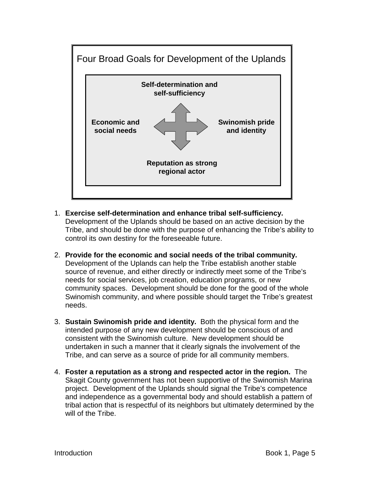

- 1. **Exercise self-determination and enhance tribal self-sufficiency.** Development of the Uplands should be based on an active decision by the Tribe, and should be done with the purpose of enhancing the Tribe's ability to control its own destiny for the foreseeable future.
- 2. **Provide for the economic and social needs of the tribal community.**  Development of the Uplands can help the Tribe establish another stable source of revenue, and either directly or indirectly meet some of the Tribe's needs for social services, job creation, education programs, or new community spaces. Development should be done for the good of the whole Swinomish community, and where possible should target the Tribe's greatest needs.
- 3. **Sustain Swinomish pride and identity.** Both the physical form and the intended purpose of any new development should be conscious of and consistent with the Swinomish culture. New development should be undertaken in such a manner that it clearly signals the involvement of the Tribe, and can serve as a source of pride for all community members.
- 4. **Foster a reputation as a strong and respected actor in the region.** The Skagit County government has not been supportive of the Swinomish Marina project. Development of the Uplands should signal the Tribe's competence and independence as a governmental body and should establish a pattern of tribal action that is respectful of its neighbors but ultimately determined by the will of the Tribe.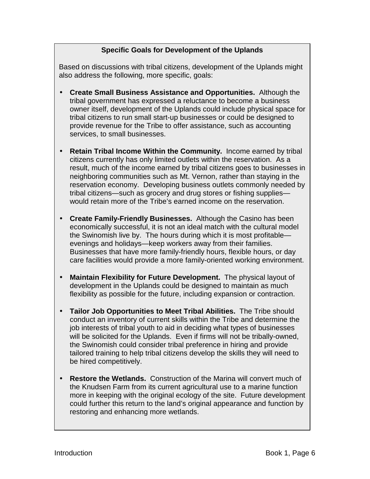# **Specific Goals for Development of the Uplands**

Based on discussions with tribal citizens, development of the Uplands might also address the following, more specific, goals:

- **Create Small Business Assistance and Opportunities.** Although the tribal government has expressed a reluctance to become a business owner itself, development of the Uplands could include physical space for tribal citizens to run small start-up businesses or could be designed to provide revenue for the Tribe to offer assistance, such as accounting services, to small businesses.
- **Retain Tribal Income Within the Community.** Income earned by tribal citizens currently has only limited outlets within the reservation. As a result, much of the income earned by tribal citizens goes to businesses in neighboring communities such as Mt. Vernon, rather than staying in the reservation economy. Developing business outlets commonly needed by tribal citizens—such as grocery and drug stores or fishing supplies would retain more of the Tribe's earned income on the reservation.
- **Create Family-Friendly Businesses.** Although the Casino has been economically successful, it is not an ideal match with the cultural model the Swinomish live by. The hours during which it is most profitable evenings and holidays—keep workers away from their families. Businesses that have more family-friendly hours, flexible hours, or day care facilities would provide a more family-oriented working environment.
- **Maintain Flexibility for Future Development.** The physical layout of development in the Uplands could be designed to maintain as much flexibility as possible for the future, including expansion or contraction.
- **Tailor Job Opportunities to Meet Tribal Abilities.** The Tribe should conduct an inventory of current skills within the Tribe and determine the job interests of tribal youth to aid in deciding what types of businesses will be solicited for the Uplands. Even if firms will not be tribally-owned, the Swinomish could consider tribal preference in hiring and provide tailored training to help tribal citizens develop the skills they will need to be hired competitively.
- **Restore the Wetlands.** Construction of the Marina will convert much of the Knudsen Farm from its current agricultural use to a marine function more in keeping with the original ecology of the site. Future development could further this return to the land's original appearance and function by restoring and enhancing more wetlands.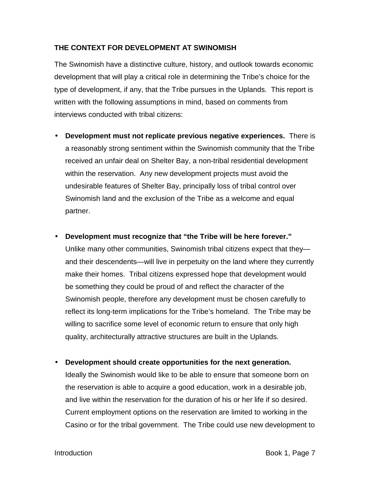# **THE CONTEXT FOR DEVELOPMENT AT SWINOMISH**

The Swinomish have a distinctive culture, history, and outlook towards economic development that will play a critical role in determining the Tribe's choice for the type of development, if any, that the Tribe pursues in the Uplands. This report is written with the following assumptions in mind, based on comments from interviews conducted with tribal citizens:

- **Development must not replicate previous negative experiences.** There is a reasonably strong sentiment within the Swinomish community that the Tribe received an unfair deal on Shelter Bay, a non-tribal residential development within the reservation. Any new development projects must avoid the undesirable features of Shelter Bay, principally loss of tribal control over Swinomish land and the exclusion of the Tribe as a welcome and equal partner.
- **Development must recognize that "the Tribe will be here forever."** Unlike many other communities, Swinomish tribal citizens expect that they and their descendents—will live in perpetuity on the land where they currently make their homes. Tribal citizens expressed hope that development would be something they could be proud of and reflect the character of the Swinomish people, therefore any development must be chosen carefully to reflect its long-term implications for the Tribe's homeland. The Tribe may be willing to sacrifice some level of economic return to ensure that only high quality, architecturally attractive structures are built in the Uplands.
- **Development should create opportunities for the next generation.**

Ideally the Swinomish would like to be able to ensure that someone born on the reservation is able to acquire a good education, work in a desirable job, and live within the reservation for the duration of his or her life if so desired. Current employment options on the reservation are limited to working in the Casino or for the tribal government. The Tribe could use new development to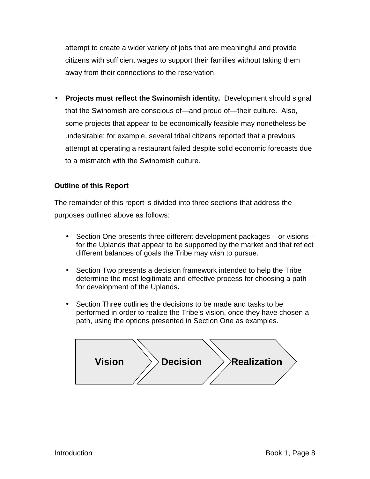attempt to create a wider variety of jobs that are meaningful and provide citizens with sufficient wages to support their families without taking them away from their connections to the reservation.

• **Projects must reflect the Swinomish identity.** Development should signal that the Swinomish are conscious of—and proud of—their culture. Also, some projects that appear to be economically feasible may nonetheless be undesirable; for example, several tribal citizens reported that a previous attempt at operating a restaurant failed despite solid economic forecasts due to a mismatch with the Swinomish culture.

# **Outline of this Report**

The remainder of this report is divided into three sections that address the purposes outlined above as follows:

- Section One presents three different development packages or visions for the Uplands that appear to be supported by the market and that reflect different balances of goals the Tribe may wish to pursue.
- Section Two presents a decision framework intended to help the Tribe determine the most legitimate and effective process for choosing a path for development of the Uplands**.**
- Section Three outlines the decisions to be made and tasks to be performed in order to realize the Tribe's vision, once they have chosen a path, using the options presented in Section One as examples.

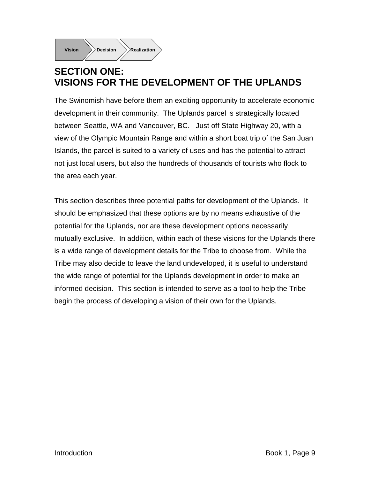

# **SECTION ONE: VISIONS FOR THE DEVELOPMENT OF THE UPLANDS**

The Swinomish have before them an exciting opportunity to accelerate economic development in their community. The Uplands parcel is strategically located between Seattle, WA and Vancouver, BC. Just off State Highway 20, with a view of the Olympic Mountain Range and within a short boat trip of the San Juan Islands, the parcel is suited to a variety of uses and has the potential to attract not just local users, but also the hundreds of thousands of tourists who flock to the area each year.

This section describes three potential paths for development of the Uplands. It should be emphasized that these options are by no means exhaustive of the potential for the Uplands, nor are these development options necessarily mutually exclusive. In addition, within each of these visions for the Uplands there is a wide range of development details for the Tribe to choose from. While the Tribe may also decide to leave the land undeveloped, it is useful to understand the wide range of potential for the Uplands development in order to make an informed decision. This section is intended to serve as a tool to help the Tribe begin the process of developing a vision of their own for the Uplands.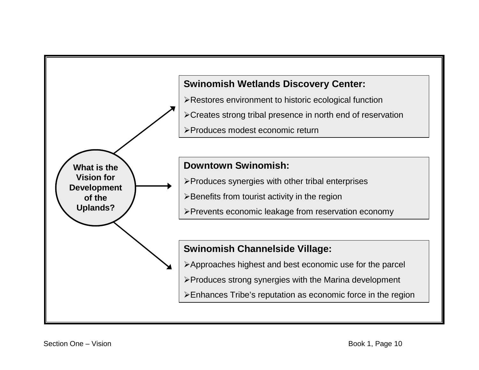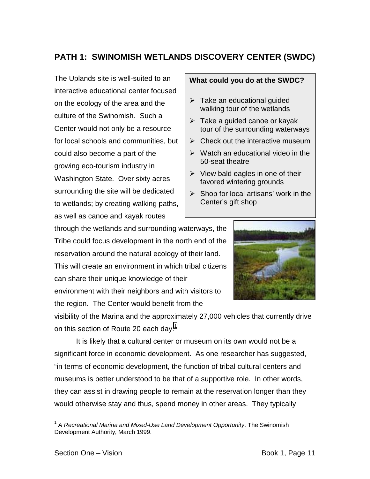# **PATH 1: SWINOMISH WETLANDS DISCOVERY CENTER (SWDC)**

The Uplands site is well-suited to an interactive educational center focused on the ecology of the area and the culture of the Swinomish. Such a Center would not only be a resource for local schools and communities, but could also become a part of the growing eco-tourism industry in Washington State. Over sixty acres surrounding the site will be dedicated to wetlands; by creating walking paths, as well as canoe and kayak routes

#### **What could you do at the SWDC?**

- $\triangleright$  Take an educational quided walking tour of the wetlands
- $\triangleright$  Take a guided canoe or kayak tour of the surrounding waterways
- $\triangleright$  Check out the interactive museum
- $\triangleright$  Watch an educational video in the 50-seat theatre
- $\triangleright$  View bald eagles in one of their favored wintering grounds
- $\triangleright$  Shop for local artisans' work in the Center's gift shop

through the wetlands and surrounding waterways, the Tribe could focus development in the north end of the reservation around the natural ecology of their land. This will create an environment in which tribal citizens can share their unique knowledge of their environment with their neighbors and with visitors to the region. The Center would benefit from the



visibility of the Marina and the approximately 27,000 vehicles that currently drive on this section of Route 20 each day.<sup>1</sup>

It is likely that a cultural center or museum on its own would not be a significant force in economic development. As one researcher has suggested, "in terms of economic development, the function of tribal cultural centers and museums is better understood to be that of a supportive role. In other words, they can assist in drawing people to remain at the reservation longer than they would otherwise stay and thus, spend money in other areas. They typically

1

<sup>1</sup> *A Recreational Marina and Mixed-Use Land Development Opportunity*. The Swinomish Development Authority, March 1999.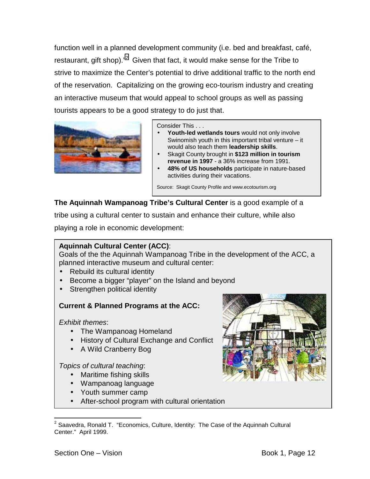function well in a planned development community (i.e. bed and breakfast, café, restaurant, gift shop). $n^2$  Given that fact, it would make sense for the Tribe to strive to maximize the Center's potential to drive additional traffic to the north end of the reservation. Capitalizing on the growing eco-tourism industry and creating an interactive museum that would appeal to school groups as well as passing tourists appears to be a good strategy to do just that.



Consider This . . .

- Youth-led wetlands tours would not only involve Swinomish youth in this important tribal venture – it would also teach them **leadership skills**.
- Skagit County brought in **\$123 million in tourism revenue in 1997** - a 36% increase from 1991.
- **48% of US households** participate in nature-based activities during their vacations.

Source: Skagit County Profile and www.ecotourism.org

**The Aquinnah Wampanoag Tribe's Cultural Center** is a good example of a

tribe using a cultural center to sustain and enhance their culture, while also

playing a role in economic development:

# **Aquinnah Cultural Center (ACC)**:

Goals of the the Aquinnah Wampanoag Tribe in the development of the ACC, a planned interactive museum and cultural center:

- Rebuild its cultural identity
- Become a bigger "player" on the Island and beyond
- Strengthen political identity

# **Current & Planned Programs at the ACC:**

*Exhibit themes*:

- The Wampanoag Homeland
- History of Cultural Exchange and Conflict
- A Wild Cranberry Bog

# *Topics of cultural teaching*:

- Maritime fishing skills
- Wampanoag language
- Youth summer camp
- After-school program with cultural orientation



1

 $2$  Saavedra, Ronald T. "Economics, Culture, Identity: The Case of the Aquinnah Cultural Center." April 1999.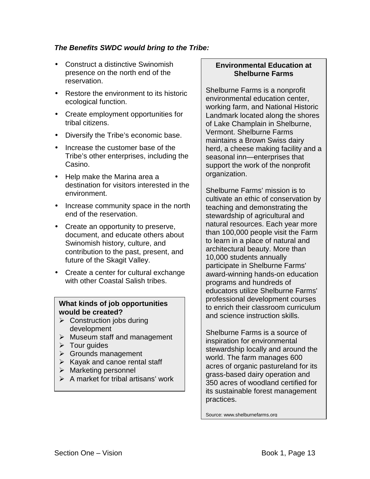# *The Benefits SWDC would bring to the Tribe:*

- Construct a distinctive Swinomish presence on the north end of the reservation.
- Restore the environment to its historic ecological function.
- Create employment opportunities for tribal citizens.
- Diversify the Tribe's economic base.
- Increase the customer base of the Tribe's other enterprises, including the Casino.
- Help make the Marina area a destination for visitors interested in the environment.
- Increase community space in the north end of the reservation.
- Create an opportunity to preserve, document, and educate others about Swinomish history, culture, and contribution to the past, present, and future of the Skagit Valley.
- Create a center for cultural exchange with other Coastal Salish tribes.

#### **What kinds of job opportunities would be created?**

- $\triangleright$  Construction jobs during development
- $\triangleright$  Museum staff and management
- $\triangleright$  Tour guides
- $\triangleright$  Grounds management
- $\triangleright$  Kayak and canoe rental staff
- $\triangleright$  Marketing personnel
- $\triangleright$  A market for tribal artisans' work

### **Environmental Education at Shelburne Farms**

Shelburne Farms is a nonprofit environmental education center, working farm, and National Historic Landmark located along the shores of Lake Champlain in Shelburne, Vermont. Shelburne Farms maintains a Brown Swiss dairy herd, a cheese making facility and a seasonal inn—enterprises that support the work of the nonprofit organization.

Shelburne Farms' mission is to cultivate an ethic of conservation by teaching and demonstrating the stewardship of agricultural and natural resources. Each year more than 100,000 people visit the Farm to learn in a place of natural and architectural beauty. More than 10,000 students annually participate in Shelburne Farms' award-winning hands-on education programs and hundreds of educators utilize Shelburne Farms' professional development courses to enrich their classroom curriculum and science instruction skills.

Shelburne Farms is a source of inspiration for environmental stewardship locally and around the world. The farm manages 600 acres of organic pastureland for its grass-based dairy operation and 350 acres of woodland certified for its sustainable forest management practices.

Source: www.shelburnefarms.org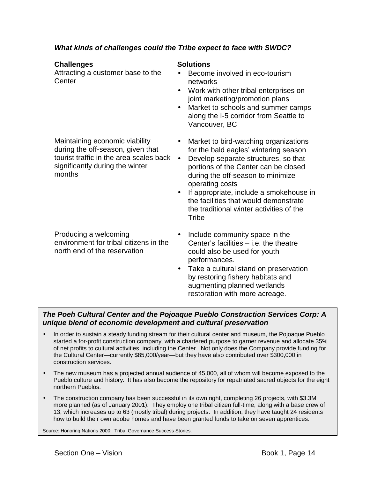# *What kinds of challenges could the Tribe expect to face with SWDC?*

#### **Challenges** Solutions

Attracting a customer base to the **Center** 

- Become involved in eco-tourism networks
- Work with other tribal enterprises on joint marketing/promotion plans
- Market to schools and summer camps along the I-5 corridor from Seattle to Vancouver, BC

Maintaining economic viability during the off-season, given that tourist traffic in the area scales back • significantly during the winter months

Producing a welcoming environment for tribal citizens in the north end of the reservation

- Market to bird-watching organizations for the bald eagles' wintering season
- Develop separate structures, so that portions of the Center can be closed during the off-season to minimize operating costs
- If appropriate, include a smokehouse in the facilities that would demonstrate the traditional winter activities of the **Tribe**
- Include community space in the Center's facilities – i.e. the theatre could also be used for youth performances.
- Take a cultural stand on preservation by restoring fishery habitats and augmenting planned wetlands restoration with more acreage.

# *The Poeh Cultural Center and the Pojoaque Pueblo Construction Services Corp: A unique blend of economic development and cultural preservation*

- In order to sustain a steady funding stream for their cultural center and museum, the Pojoaque Pueblo started a for-profit construction company, with a chartered purpose to garner revenue and allocate 35% of net profits to cultural activities, including the Center. Not only does the Company provide funding for the Cultural Center—currently \$85,000/year—but they have also contributed over \$300,000 in construction services.
- The new museum has a projected annual audience of 45,000, all of whom will become exposed to the Pueblo culture and history. It has also become the repository for repatriated sacred objects for the eight northern Pueblos.
- The construction company has been successful in its own right, completing 26 projects, with \$3.3M more planned (as of January 2001). They employ one tribal citizen full-time, along with a base crew of 13, which increases up to 63 (mostly tribal) during projects. In addition, they have taught 24 residents how to build their own adobe homes and have been granted funds to take on seven apprentices.

Source: Honoring Nations 2000: Tribal Governance Success Stories.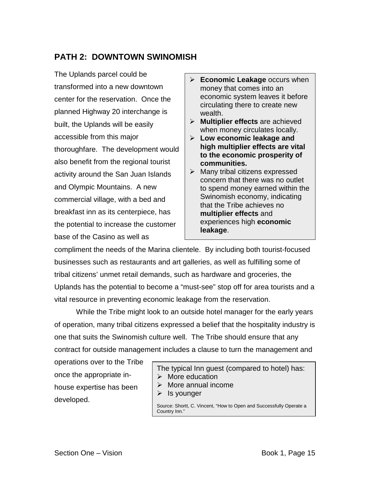# **PATH 2: DOWNTOWN SWINOMISH**

The Uplands parcel could be transformed into a new downtown center for the reservation. Once the planned Highway 20 interchange is built, the Uplands will be easily accessible from this major thoroughfare. The development would also benefit from the regional tourist activity around the San Juan Islands and Olympic Mountains. A new commercial village, with a bed and breakfast inn as its centerpiece, has the potential to increase the customer base of the Casino as well as

- **► Economic Leakage** occurs when money that comes into an economic system leaves it before circulating there to create new wealth.
- ! **Multiplier effects** are achieved when money circulates locally.
- ! **Low economic leakage and high multiplier effects are vital to the economic prosperity of communities.**
- $\triangleright$  Many tribal citizens expressed concern that there was no outlet to spend money earned within the Swinomish economy, indicating that the Tribe achieves no **multiplier effects** and experiences high **economic leakage**.

compliment the needs of the Marina clientele. By including both tourist-focused businesses such as restaurants and art galleries, as well as fulfilling some of tribal citizens' unmet retail demands, such as hardware and groceries, the Uplands has the potential to become a "must-see" stop off for area tourists and a vital resource in preventing economic leakage from the reservation.

 While the Tribe might look to an outside hotel manager for the early years of operation, many tribal citizens expressed a belief that the hospitality industry is one that suits the Swinomish culture well. The Tribe should ensure that any contract for outside management includes a clause to turn the management and

operations over to the Tribe once the appropriate inhouse expertise has been developed.

The typical Inn guest (compared to hotel) has:  $\triangleright$  More education  $\triangleright$  More annual income

 $\triangleright$  Is younger

Source: Shortt, C. Vincent, "How to Open and Successfully Operate a Country Inn."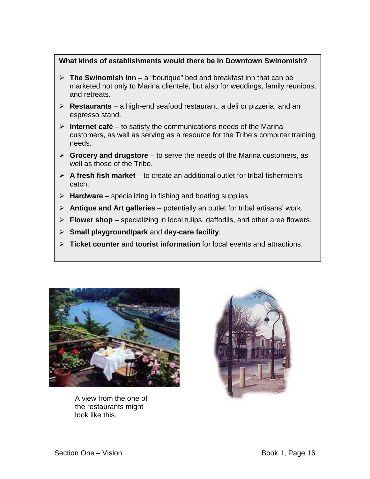## **What kinds of establishments would there be in Downtown Swinomish?**

- $\triangleright$  **The Swinomish Inn** a "boutique" bed and breakfast inn that can be marketed not only to Marina clientele, but also for weddings, family reunions, and retreats.
- ! **Restaurants** a high-end seafood restaurant, a deli or pizzeria, and an espresso stand.
- $\triangleright$  **Internet café** to satisfy the communications needs of the Marina customers, as well as serving as a resource for the Tribe's computer training needs.
- ! **Grocery and drugstore** to serve the needs of the Marina customers, as well as those of the Tribe.
- $\triangleright$  **A fresh fish market** to create an additional outlet for tribal fishermen's catch.
- **EXA** Hardware specializing in fishing and boating supplies.
- ! **Antique and Art galleries** potentially an outlet for tribal artisans' work.
- ! **Flower shop** specializing in local tulips, daffodils, and other area flowers.
- ! **Small playground/park** and **day-care facility**.
- ! **Ticket counter** and **tourist information** for local events and attractions.



A view from the one of the restaurants might look like this.

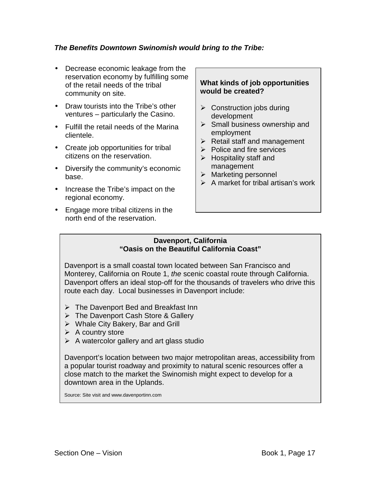# *The Benefits Downtown Swinomish would bring to the Tribe:*

- Decrease economic leakage from the reservation economy by fulfilling some of the retail needs of the tribal community on site.
- Draw tourists into the Tribe's other ventures – particularly the Casino.
- Fulfill the retail needs of the Marina clientele.
- Create job opportunities for tribal citizens on the reservation.
- Diversify the community's economic base.
- Increase the Tribe's impact on the regional economy.
- Engage more tribal citizens in the north end of the reservation.

## **What kinds of job opportunities would be created?**

- $\triangleright$  Construction jobs during development
- $\triangleright$  Small business ownership and employment
- $\triangleright$  Retail staff and management
- $\triangleright$  Police and fire services
- $\triangleright$  Hospitality staff and management
- $\triangleright$  Marketing personnel
- $\triangleright$  A market for tribal artisan's work

#### **Davenport, California "Oasis on the Beautiful California Coast"**

Davenport is a small coastal town located between San Francisco and Monterey, California on Route 1, *the* scenic coastal route through California. Davenport offers an ideal stop-off for the thousands of travelers who drive this route each day. Local businesses in Davenport include:

- $\triangleright$  The Davenport Bed and Breakfast Inn
- $\triangleright$  The Davenport Cash Store & Gallery
- $\triangleright$  Whale City Bakery, Bar and Grill
- $\triangleright$  A country store
- $\triangleright$  A watercolor gallery and art glass studio

Davenport's location between two major metropolitan areas, accessibility from a popular tourist roadway and proximity to natural scenic resources offer a close match to the market the Swinomish might expect to develop for a downtown area in the Uplands.

Source: Site visit and www.davenportinn.com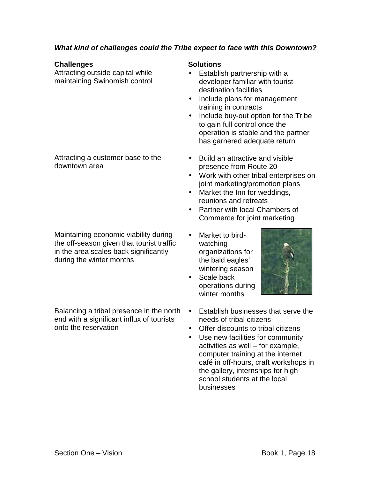# *What kind of challenges could the Tribe expect to face with this Downtown?*

#### **Challenges** Solutions

Attracting outside capital while maintaining Swinomish control

Attracting a customer base to the downtown area

Maintaining economic viability during the off-season given that tourist traffic in the area scales back significantly during the winter months

Balancing a tribal presence in the north end with a significant influx of tourists onto the reservation

- Establish partnership with a developer familiar with touristdestination facilities
- Include plans for management training in contracts
- Include buy-out option for the Tribe to gain full control once the operation is stable and the partner has garnered adequate return
- Build an attractive and visible presence from Route 20
- Work with other tribal enterprises on joint marketing/promotion plans
- Market the Inn for weddings, reunions and retreats
- Partner with local Chambers of Commerce for joint marketing
- Market to birdwatching organizations for the bald eagles' wintering season
- Scale back operations during winter months



- Establish businesses that serve the needs of tribal citizens
- Offer discounts to tribal citizens
- Use new facilities for community activities as well – for example, computer training at the internet café in off-hours, craft workshops in the gallery, internships for high school students at the local businesses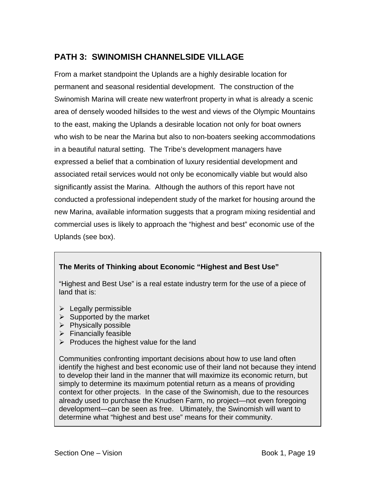# **PATH 3: SWINOMISH CHANNELSIDE VILLAGE**

From a market standpoint the Uplands are a highly desirable location for permanent and seasonal residential development. The construction of the Swinomish Marina will create new waterfront property in what is already a scenic area of densely wooded hillsides to the west and views of the Olympic Mountains to the east, making the Uplands a desirable location not only for boat owners who wish to be near the Marina but also to non-boaters seeking accommodations in a beautiful natural setting. The Tribe's development managers have expressed a belief that a combination of luxury residential development and associated retail services would not only be economically viable but would also significantly assist the Marina. Although the authors of this report have not conducted a professional independent study of the market for housing around the new Marina, available information suggests that a program mixing residential and commercial uses is likely to approach the "highest and best" economic use of the Uplands (see box).

# **The Merits of Thinking about Economic "Highest and Best Use"**

"Highest and Best Use" is a real estate industry term for the use of a piece of land that is:

- $\triangleright$  Legally permissible
- $\triangleright$  Supported by the market
- $\triangleright$  Physically possible
- $\triangleright$  Financially feasible
- $\triangleright$  Produces the highest value for the land

Communities confronting important decisions about how to use land often identify the highest and best economic use of their land not because they intend to develop their land in the manner that will maximize its economic return, but simply to determine its maximum potential return as a means of providing context for other projects. In the case of the Swinomish, due to the resources already used to purchase the Knudsen Farm, no project—not even foregoing development—can be seen as free. Ultimately, the Swinomish will want to determine what "highest and best use" means for their community.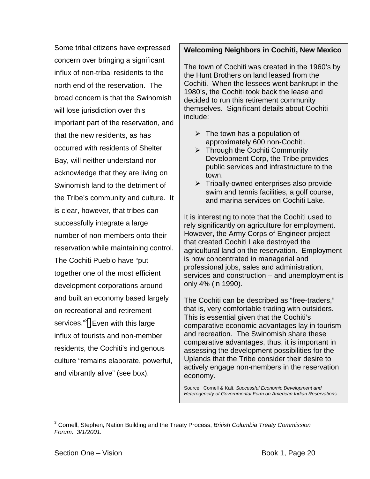Some tribal citizens have expressed concern over bringing a significant influx of non-tribal residents to the north end of the reservation. The broad concern is that the Swinomish will lose jurisdiction over this important part of the reservation, and that the new residents, as has occurred with residents of Shelter Bay, will neither understand nor acknowledge that they are living on Swinomish land to the detriment of the Tribe's community and culture. It is clear, however, that tribes can successfully integrate a large number of non-members onto their reservation while maintaining control. The Cochiti Pueblo have "put together one of the most efficient development corporations around and built an economy based largely on recreational and retirement services."<sup>3</sup> Even with this large influx of tourists and non-member residents, the Cochiti's indigenous culture "remains elaborate, powerful, and vibrantly alive" (see box).

# **Welcoming Neighbors in Cochiti, New Mexico**

The town of Cochiti was created in the 1960's by the Hunt Brothers on land leased from the Cochiti. When the lessees went bankrupt in the 1980's, the Cochiti took back the lease and decided to run this retirement community themselves. Significant details about Cochiti include:

- $\triangleright$  The town has a population of approximately 600 non-Cochiti.
- $\triangleright$  Through the Cochiti Community Development Corp, the Tribe provides public services and infrastructure to the town.
- $\triangleright$  Tribally-owned enterprises also provide swim and tennis facilities, a golf course, and marina services on Cochiti Lake.

It is interesting to note that the Cochiti used to rely significantly on agriculture for employment. However, the Army Corps of Engineer project that created Cochiti Lake destroyed the agricultural land on the reservation. Employment is now concentrated in managerial and professional jobs, sales and administration, services and construction – and unemployment is only 4% (in 1990).

The Cochiti can be described as "free-traders," that is, very comfortable trading with outsiders. This is essential given that the Cochiti's comparative economic advantages lay in tourism and recreation. The Swinomish share these comparative advantages, thus, it is important in assessing the development possibilities for the Uplands that the Tribe consider their desire to actively engage non-members in the reservation economy.

Source: Cornell & Kalt, *Successful Economic Development and Heterogeneity of Governmental Form on American Indian Reservations*.

 $\overline{a}$ 3 Cornell, Stephen, Nation Building and the Treaty Process, *British Columbia Treaty Commission Forum. 3/1/2001.*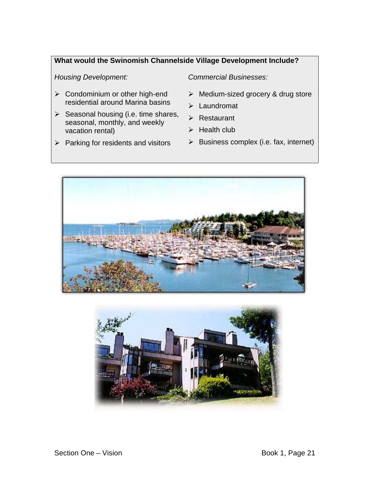# **What would the Swinomish Channelside Village Development Include?**

*Housing Development: Commercial Businesses:* 

- $\triangleright$  Condominium or other high-end residential around Marina basins
- $\triangleright$  Seasonal housing (i.e. time shares, seasonal, monthly, and weekly vacation rental)
- $\triangleright$  Parking for residents and visitors

- $\triangleright$  Medium-sized grocery & drug store
- $\blacktriangleright$  Laundromat
- $\triangleright$  Restaurant
- $\triangleright$  Health club
- $\triangleright$  Business complex (i.e. fax, internet)



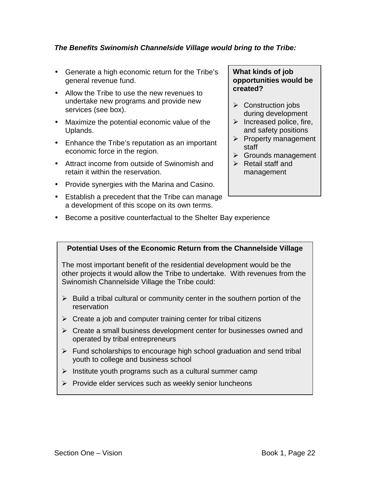# *The Benefits Swinomish Channelside Village would bring to the Tribe:*

- Generate a high economic return for the Tribe's general revenue fund.
- Allow the Tribe to use the new revenues to undertake new programs and provide new services (see box).
- Maximize the potential economic value of the Uplands.
- Enhance the Tribe's reputation as an important economic force in the region.
- Attract income from outside of Swinomish and retain it within the reservation.
- Provide synergies with the Marina and Casino.
- Establish a precedent that the Tribe can manage a development of this scope on its own terms.

### **What kinds of job opportunities would be created?**

- $\triangleright$  Construction jobs during development
- $\triangleright$  Increased police, fire, and safety positions
- $\triangleright$  Property management staff
- $\triangleright$  Grounds management
- $\triangleright$  Retail staff and management
- Become a positive counterfactual to the Shelter Bay experience

## **Potential Uses of the Economic Return from the Channelside Village**

The most important benefit of the residential development would be the other projects it would allow the Tribe to undertake. With revenues from the Swinomish Channelside Village the Tribe could:

- $\triangleright$  Build a tribal cultural or community center in the southern portion of the reservation
- $\triangleright$  Create a job and computer training center for tribal citizens
- $\triangleright$  Create a small business development center for businesses owned and operated by tribal entrepreneurs
- $\triangleright$  Fund scholarships to encourage high school graduation and send tribal youth to college and business school
- $\triangleright$  Institute youth programs such as a cultural summer camp
- $\triangleright$  Provide elder services such as weekly senior luncheons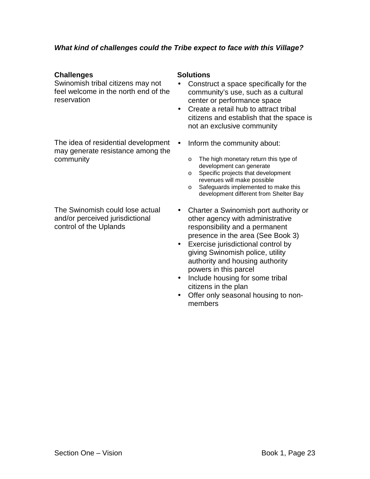# *What kind of challenges could the Tribe expect to face with this Village?*

## **Challenges** Solutions

Swinomish tribal citizens may not feel welcome in the north end of the reservation

The idea of residential development • may generate resistance among the community

The Swinomish could lose actual and/or perceived jurisdictional control of the Uplands

- Construct a space specifically for the community's use, such as a cultural center or performance space
- Create a retail hub to attract tribal citizens and establish that the space is not an exclusive community
- Inform the community about:
	- o The high monetary return this type of development can generate
	- o Specific projects that development revenues will make possible
	- o Safeguards implemented to make this development different from Shelter Bay
- Charter a Swinomish port authority or other agency with administrative responsibility and a permanent presence in the area (See Book 3)
- Exercise jurisdictional control by giving Swinomish police, utility authority and housing authority powers in this parcel
- Include housing for some tribal citizens in the plan
- Offer only seasonal housing to nonmembers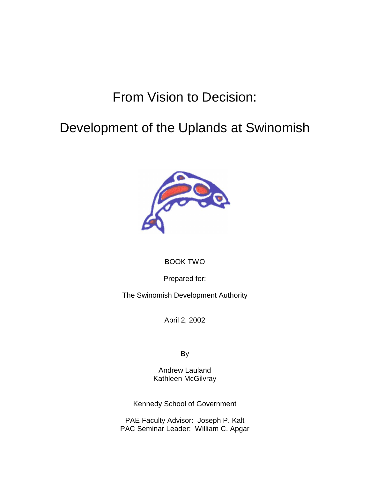# From Vision to Decision:

# Development of the Uplands at Swinomish



# BOOK TWO

Prepared for:

The Swinomish Development Authority

April 2, 2002

By

Andrew Lauland Kathleen McGilvray

Kennedy School of Government

PAE Faculty Advisor: Joseph P. Kalt PAC Seminar Leader: William C. Apgar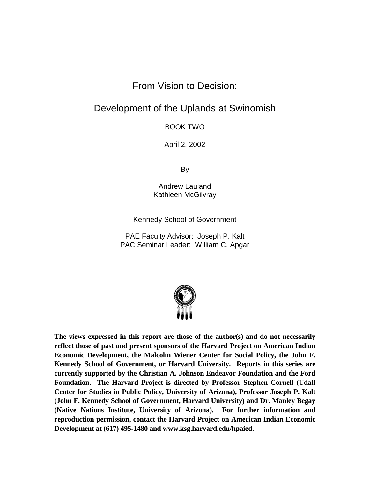# From Vision to Decision:

# Development of the Uplands at Swinomish

BOOK TWO

April 2, 2002

By

Andrew Lauland Kathleen McGilvray

Kennedy School of Government

PAE Faculty Advisor: Joseph P. Kalt PAC Seminar Leader: William C. Apgar



**The views expressed in this report are those of the author(s) and do not necessarily reflect those of past and present sponsors of the Harvard Project on American Indian Economic Development, the Malcolm Wiener Center for Social Policy, the John F. Kennedy School of Government, or Harvard University. Reports in this series are currently supported by the Christian A. Johnson Endeavor Foundation and the Ford Foundation. The Harvard Project is directed by Professor Stephen Cornell (Udall Center for Studies in Public Policy, University of Arizona), Professor Joseph P. Kalt (John F. Kennedy School of Government, Harvard University) and Dr. Manley Begay (Native Nations Institute, University of Arizona). For further information and reproduction permission, contact the Harvard Project on American Indian Economic Development at (617) 495-1480 and www.ksg.harvard.edu/hpaied.**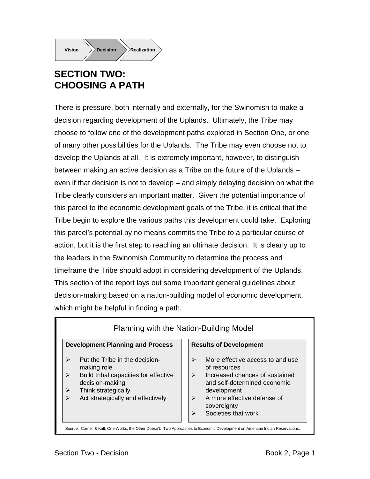

# **SECTION TWO: CHOOSING A PATH**

There is pressure, both internally and externally, for the Swinomish to make a decision regarding development of the Uplands. Ultimately, the Tribe may choose to follow one of the development paths explored in Section One, or one of many other possibilities for the Uplands. The Tribe may even choose not to develop the Uplands at all. It is extremely important, however, to distinguish between making an active decision as a Tribe on the future of the Uplands – even if that decision is not to develop – and simply delaying decision on what the Tribe clearly considers an important matter. Given the potential importance of this parcel to the economic development goals of the Tribe, it is critical that the Tribe begin to explore the various paths this development could take. Exploring this parcel's potential by no means commits the Tribe to a particular course of action, but it is the first step to reaching an ultimate decision. It is clearly up to the leaders in the Swinomish Community to determine the process and timeframe the Tribe should adopt in considering development of the Uplands. This section of the report lays out some important general guidelines about decision-making based on a nation-building model of economic development, which might be helpful in finding a path.

#### **Development Planning and Process**  $\triangleright$  Put the Tribe in the decisionmaking role  $\triangleright$  Build tribal capacities for effective decision-making  $\triangleright$  Think strategically  $\triangleright$  Act strategically and effectively **Results of Development**  $\triangleright$  More effective access to and use of resources  $\triangleright$  Increased chances of sustained and self-determined economic development Planning with the Nation-Building Model

- $\triangleright$  A more effective defense of sovereignty
- $\triangleright$  Societies that work

Source: Cornell & Kalt, One Works, the Other Doesn't: Two Approaches to Economic Development on American Indian Reservations.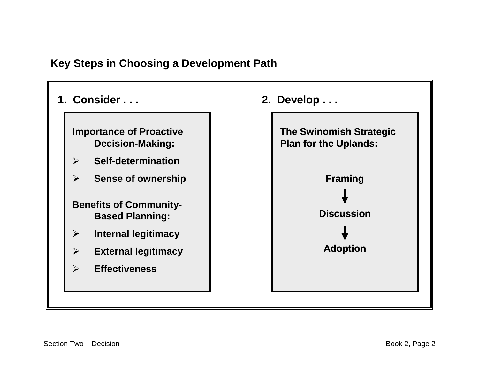# **Key Steps in Choosing a Development Path**

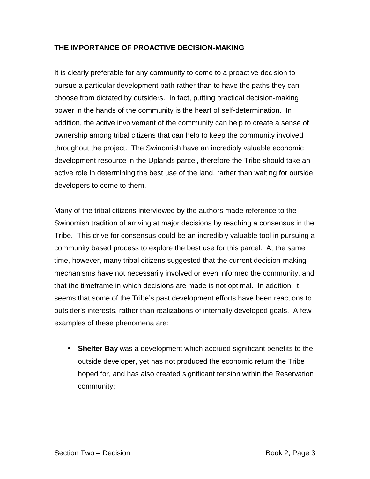# **THE IMPORTANCE OF PROACTIVE DECISION-MAKING**

It is clearly preferable for any community to come to a proactive decision to pursue a particular development path rather than to have the paths they can choose from dictated by outsiders. In fact, putting practical decision-making power in the hands of the community is the heart of self-determination. In addition, the active involvement of the community can help to create a sense of ownership among tribal citizens that can help to keep the community involved throughout the project. The Swinomish have an incredibly valuable economic development resource in the Uplands parcel, therefore the Tribe should take an active role in determining the best use of the land, rather than waiting for outside developers to come to them.

Many of the tribal citizens interviewed by the authors made reference to the Swinomish tradition of arriving at major decisions by reaching a consensus in the Tribe. This drive for consensus could be an incredibly valuable tool in pursuing a community based process to explore the best use for this parcel. At the same time, however, many tribal citizens suggested that the current decision-making mechanisms have not necessarily involved or even informed the community, and that the timeframe in which decisions are made is not optimal. In addition, it seems that some of the Tribe's past development efforts have been reactions to outsider's interests, rather than realizations of internally developed goals. A few examples of these phenomena are:

• **Shelter Bay** was a development which accrued significant benefits to the outside developer, yet has not produced the economic return the Tribe hoped for, and has also created significant tension within the Reservation community;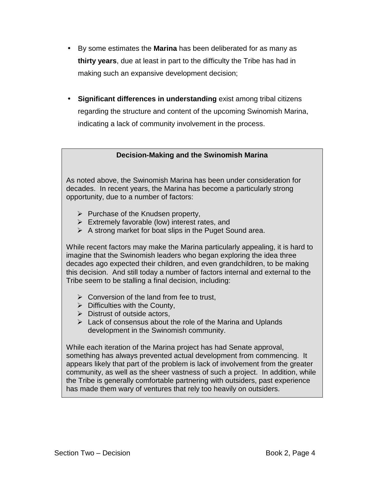- By some estimates the **Marina** has been deliberated for as many as **thirty years**, due at least in part to the difficulty the Tribe has had in making such an expansive development decision;
- **Significant differences in understanding** exist among tribal citizens regarding the structure and content of the upcoming Swinomish Marina, indicating a lack of community involvement in the process.

**Decision-Making and the Swinomish Marina** 

As noted above, the Swinomish Marina has been under consideration for decades. In recent years, the Marina has become a particularly strong opportunity, due to a number of factors:

- $\triangleright$  Purchase of the Knudsen property,
- $\triangleright$  Extremely favorable (low) interest rates, and
- $\triangleright$  A strong market for boat slips in the Puget Sound area.

While recent factors may make the Marina particularly appealing, it is hard to imagine that the Swinomish leaders who began exploring the idea three decades ago expected their children, and even grandchildren, to be making this decision. And still today a number of factors internal and external to the Tribe seem to be stalling a final decision, including:

- $\triangleright$  Conversion of the land from fee to trust,
- $\triangleright$  Difficulties with the County,
- $\triangleright$  Distrust of outside actors,
- $\triangleright$  Lack of consensus about the role of the Marina and Uplands development in the Swinomish community.

While each iteration of the Marina project has had Senate approval, something has always prevented actual development from commencing. It appears likely that part of the problem is lack of involvement from the greater community, as well as the sheer vastness of such a project. In addition, while the Tribe is generally comfortable partnering with outsiders, past experience has made them wary of ventures that rely too heavily on outsiders.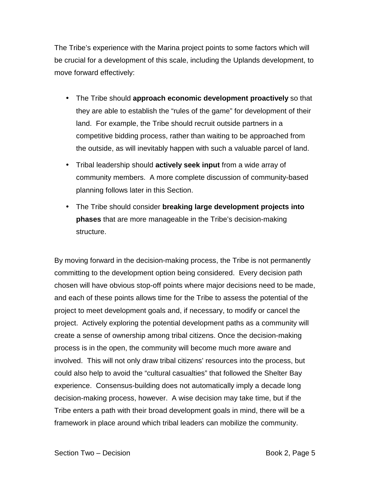The Tribe's experience with the Marina project points to some factors which will be crucial for a development of this scale, including the Uplands development, to move forward effectively:

- The Tribe should **approach economic development proactively** so that they are able to establish the "rules of the game" for development of their land. For example, the Tribe should recruit outside partners in a competitive bidding process, rather than waiting to be approached from the outside, as will inevitably happen with such a valuable parcel of land.
- Tribal leadership should **actively seek input** from a wide array of community members. A more complete discussion of community-based planning follows later in this Section.
- The Tribe should consider **breaking large development projects into phases** that are more manageable in the Tribe's decision-making structure.

By moving forward in the decision-making process, the Tribe is not permanently committing to the development option being considered. Every decision path chosen will have obvious stop-off points where major decisions need to be made, and each of these points allows time for the Tribe to assess the potential of the project to meet development goals and, if necessary, to modify or cancel the project. Actively exploring the potential development paths as a community will create a sense of ownership among tribal citizens. Once the decision-making process is in the open, the community will become much more aware and involved. This will not only draw tribal citizens' resources into the process, but could also help to avoid the "cultural casualties" that followed the Shelter Bay experience. Consensus-building does not automatically imply a decade long decision-making process, however. A wise decision may take time, but if the Tribe enters a path with their broad development goals in mind, there will be a framework in place around which tribal leaders can mobilize the community.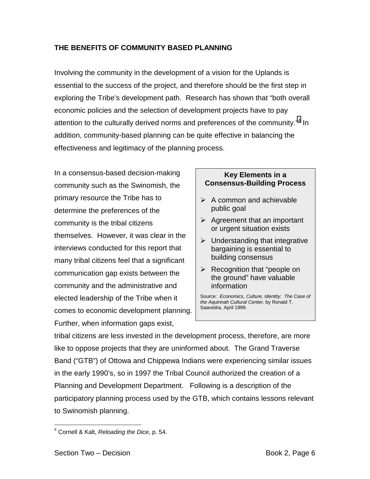# **THE BENEFITS OF COMMUNITY BASED PLANNING**

Involving the community in the development of a vision for the Uplands is essential to the success of the project, and therefore should be the first step in exploring the Tribe's development path. Research has shown that "both overall economic policies and the selection of development projects have to pay attention to the culturally derived norms and preferences of the community."<sup>4</sup> In addition, community-based planning can be quite effective in balancing the effectiveness and legitimacy of the planning process.

In a consensus-based decision-making community such as the Swinomish, the primary resource the Tribe has to determine the preferences of the community is the tribal citizens themselves. However, it was clear in the interviews conducted for this report that many tribal citizens feel that a significant communication gap exists between the community and the administrative and elected leadership of the Tribe when it comes to economic development planning. Further, when information gaps exist,

# **Key Elements in a Consensus-Building Process**

- $\triangleright$  A common and achievable public goal
- $\triangleright$  Agreement that an important or urgent situation exists
- $\triangleright$  Understanding that integrative bargaining is essential to building consensus
- $\triangleright$  Recognition that "people on the ground" have valuable information

Source: *Economics, Culture, Identity: The Case of the Aquinnah Cultural Center,* by Ronald T. Saavedra, April 1999.

tribal citizens are less invested in the development process, therefore, are more like to oppose projects that they are uninformed about. The Grand Traverse Band ("GTB") of Ottowa and Chippewa Indians were experiencing similar issues in the early 1990's, so in 1997 the Tribal Council authorized the creation of a Planning and Development Department. Following is a description of the participatory planning process used by the GTB, which contains lessons relevant to Swinomish planning.

1

<sup>4</sup> Cornell & Kalt, *Reloading the Dice*, p. 54.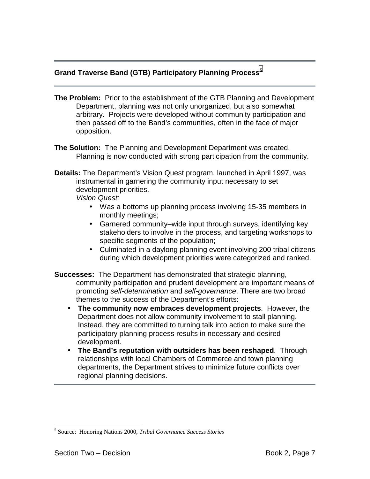# **Grand Traverse Band (GTB) Participatory Planning Process<sup>5</sup>**

- **The Problem:** Prior to the establishment of the GTB Planning and Development Department, planning was not only unorganized, but also somewhat arbitrary. Projects were developed without community participation and then passed off to the Band's communities, often in the face of major opposition.
- **The Solution:** The Planning and Development Department was created. Planning is now conducted with strong participation from the community.
- **Details:** The Department's Vision Quest program, launched in April 1997, was instrumental in garnering the community input necessary to set development priorities.

*Vision Quest:* 

- Was a bottoms up planning process involving 15-35 members in monthly meetings;
- Garnered community–wide input through surveys, identifying key stakeholders to involve in the process, and targeting workshops to specific segments of the population;
- Culminated in a daylong planning event involving 200 tribal citizens during which development priorities were categorized and ranked.
- **Successes:** The Department has demonstrated that strategic planning, community participation and prudent development are important means of promoting *self-determination* and *self-governance*. There are two broad themes to the success of the Department's efforts:
	- **The community now embraces development projects**. However, the Department does not allow community involvement to stall planning. Instead, they are committed to turning talk into action to make sure the participatory planning process results in necessary and desired development.
	- **The Band's reputation with outsiders has been reshaped**. Through relationships with local Chambers of Commerce and town planning departments, the Department strives to minimize future conflicts over regional planning decisions.

 $\overline{a}$ 

<sup>5</sup> Source: Honoring Nations 2000, *Tribal Governance Success Stories*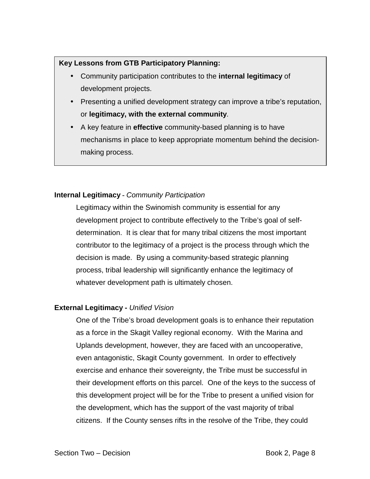# **Key Lessons from GTB Participatory Planning:**

- Community participation contributes to the **internal legitimacy** of development projects.
- Presenting a unified development strategy can improve a tribe's reputation, or **legitimacy, with the external community**.
- A key feature in **effective** community-based planning is to have mechanisms in place to keep appropriate momentum behind the decisionmaking process.

# **Internal Legitimacy -** *Community Participation*

Legitimacy within the Swinomish community is essential for any development project to contribute effectively to the Tribe's goal of selfdetermination. It is clear that for many tribal citizens the most important contributor to the legitimacy of a project is the process through which the decision is made. By using a community-based strategic planning process, tribal leadership will significantly enhance the legitimacy of whatever development path is ultimately chosen.

# **External Legitimacy -** *Unified Vision*

One of the Tribe's broad development goals is to enhance their reputation as a force in the Skagit Valley regional economy. With the Marina and Uplands development, however, they are faced with an uncooperative, even antagonistic, Skagit County government. In order to effectively exercise and enhance their sovereignty, the Tribe must be successful in their development efforts on this parcel. One of the keys to the success of this development project will be for the Tribe to present a unified vision for the development, which has the support of the vast majority of tribal citizens. If the County senses rifts in the resolve of the Tribe, they could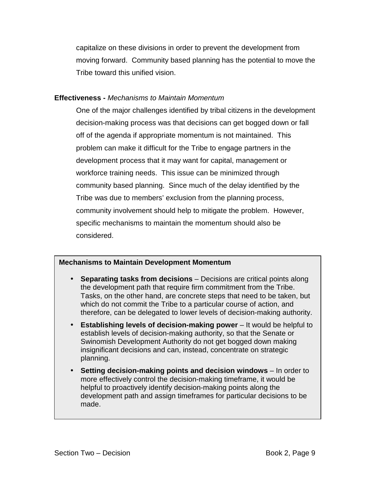capitalize on these divisions in order to prevent the development from moving forward. Community based planning has the potential to move the Tribe toward this unified vision.

## **Effectiveness -** *Mechanisms to Maintain Momentum*

One of the major challenges identified by tribal citizens in the development decision-making process was that decisions can get bogged down or fall off of the agenda if appropriate momentum is not maintained. This problem can make it difficult for the Tribe to engage partners in the development process that it may want for capital, management or workforce training needs. This issue can be minimized through community based planning. Since much of the delay identified by the Tribe was due to members' exclusion from the planning process, community involvement should help to mitigate the problem. However, specific mechanisms to maintain the momentum should also be considered.

# **Mechanisms to Maintain Development Momentum**

- **Separating tasks from decisions** Decisions are critical points along the development path that require firm commitment from the Tribe. Tasks, on the other hand, are concrete steps that need to be taken, but which do not commit the Tribe to a particular course of action, and therefore, can be delegated to lower levels of decision-making authority.
- **Establishing levels of decision-making power** It would be helpful to establish levels of decision-making authority, so that the Senate or Swinomish Development Authority do not get bogged down making insignificant decisions and can, instead, concentrate on strategic planning.
- **Setting decision-making points and decision windows** In order to more effectively control the decision-making timeframe, it would be helpful to proactively identify decision-making points along the development path and assign timeframes for particular decisions to be made.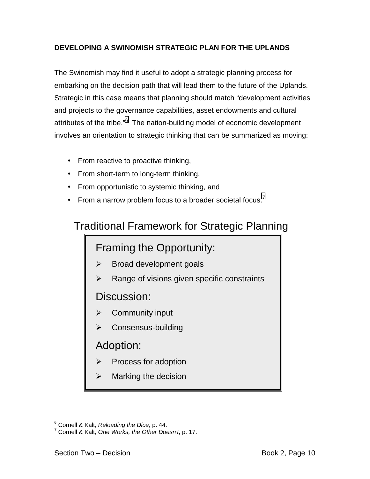# **DEVELOPING A SWINOMISH STRATEGIC PLAN FOR THE UPLANDS**

The Swinomish may find it useful to adopt a strategic planning process for embarking on the decision path that will lead them to the future of the Uplands. Strategic in this case means that planning should match "development activities and projects to the governance capabilities, asset endowments and cultural attributes of the tribe."<sup>6</sup> The nation-building model of economic development involves an orientation to strategic thinking that can be summarized as moving:

- From reactive to proactive thinking,
- From short-term to long-term thinking,
- From opportunistic to systemic thinking, and
- From a narrow problem focus to a broader societal focus.<sup>7</sup>

# Traditional Framework for Strategic Planning

# Framing the Opportunity:

- ! Broad development goals
- $\triangleright$  Range of visions given specific constraints

Discussion:

- Community input
- Consensus-building

# Adoption:

- Process for adoption
- $\triangleright$  Marking the decision

e<br>
<sup>6</sup> Cornell & Kalt, *Reloading the Dice*, p. 44.<br>
<sup>7</sup> Cernell & Kelt, One Werke, the Other Dec

Cornell & Kalt, *One Works, the Other Doesn't*, p. 17.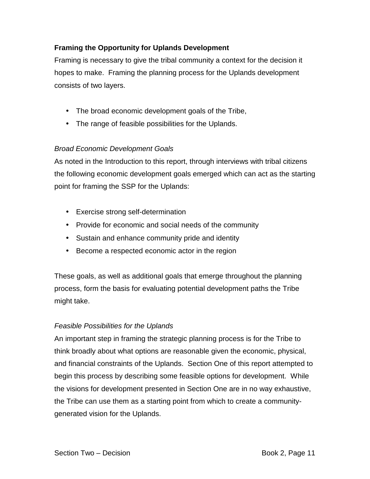# **Framing the Opportunity for Uplands Development**

Framing is necessary to give the tribal community a context for the decision it hopes to make. Framing the planning process for the Uplands development consists of two layers.

- The broad economic development goals of the Tribe,
- The range of feasible possibilities for the Uplands.

# *Broad Economic Development Goals*

As noted in the Introduction to this report, through interviews with tribal citizens the following economic development goals emerged which can act as the starting point for framing the SSP for the Uplands:

- Exercise strong self-determination
- Provide for economic and social needs of the community
- Sustain and enhance community pride and identity
- Become a respected economic actor in the region

These goals, as well as additional goals that emerge throughout the planning process, form the basis for evaluating potential development paths the Tribe might take.

# *Feasible Possibilities for the Uplands*

An important step in framing the strategic planning process is for the Tribe to think broadly about what options are reasonable given the economic, physical, and financial constraints of the Uplands. Section One of this report attempted to begin this process by describing some feasible options for development. While the visions for development presented in Section One are in no way exhaustive, the Tribe can use them as a starting point from which to create a communitygenerated vision for the Uplands.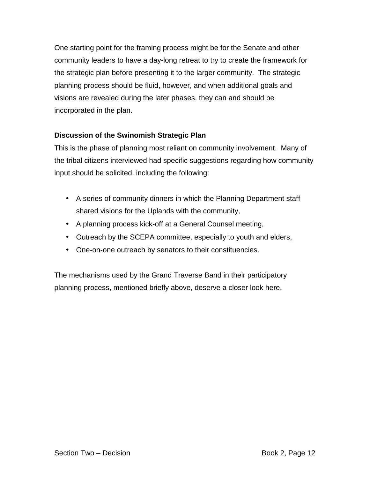One starting point for the framing process might be for the Senate and other community leaders to have a day-long retreat to try to create the framework for the strategic plan before presenting it to the larger community. The strategic planning process should be fluid, however, and when additional goals and visions are revealed during the later phases, they can and should be incorporated in the plan.

# **Discussion of the Swinomish Strategic Plan**

This is the phase of planning most reliant on community involvement. Many of the tribal citizens interviewed had specific suggestions regarding how community input should be solicited, including the following:

- A series of community dinners in which the Planning Department staff shared visions for the Uplands with the community,
- A planning process kick-off at a General Counsel meeting,
- Outreach by the SCEPA committee, especially to youth and elders,
- One-on-one outreach by senators to their constituencies.

The mechanisms used by the Grand Traverse Band in their participatory planning process, mentioned briefly above, deserve a closer look here.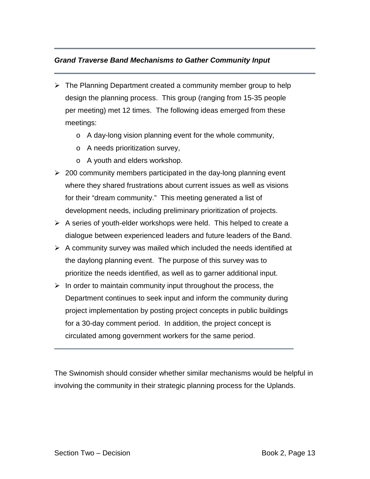# *Grand Traverse Band Mechanisms to Gather Community Input*

- $\triangleright$  The Planning Department created a community member group to help design the planning process. This group (ranging from 15-35 people per meeting) met 12 times. The following ideas emerged from these meetings:
	- o A day-long vision planning event for the whole community,
	- o A needs prioritization survey,
	- o A youth and elders workshop.
- $\geq$  200 community members participated in the day-long planning event where they shared frustrations about current issues as well as visions for their "dream community." This meeting generated a list of development needs, including preliminary prioritization of projects.
- $\triangleright$  A series of youth-elder workshops were held. This helped to create a dialogue between experienced leaders and future leaders of the Band.
- $\triangleright$  A community survey was mailed which included the needs identified at the daylong planning event. The purpose of this survey was to prioritize the needs identified, as well as to garner additional input.
- $\triangleright$  In order to maintain community input throughout the process, the Department continues to seek input and inform the community during project implementation by posting project concepts in public buildings for a 30-day comment period. In addition, the project concept is circulated among government workers for the same period.

The Swinomish should consider whether similar mechanisms would be helpful in involving the community in their strategic planning process for the Uplands.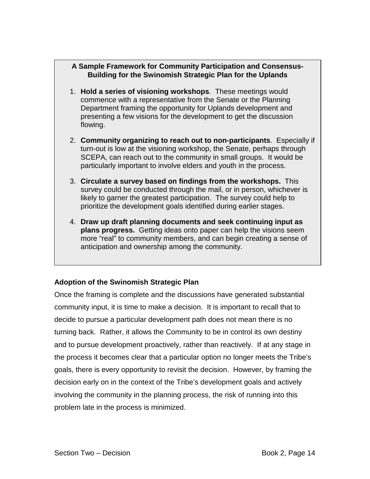# **A Sample Framework for Community Participation and Consensus-Building for the Swinomish Strategic Plan for the Uplands**

- 1. **Hold a series of visioning workshops**. These meetings would commence with a representative from the Senate or the Planning Department framing the opportunity for Uplands development and presenting a few visions for the development to get the discussion flowing.
- 2. **Community organizing to reach out to non-participants**. Especially if turn-out is low at the visioning workshop, the Senate, perhaps through SCEPA, can reach out to the community in small groups. It would be particularly important to involve elders and youth in the process.
- 3. **Circulate a survey based on findings from the workshops.** This survey could be conducted through the mail, or in person, whichever is likely to garner the greatest participation. The survey could help to prioritize the development goals identified during earlier stages.
- 4. **Draw up draft planning documents and seek continuing input as plans progress.** Getting ideas onto paper can help the visions seem more "real" to community members, and can begin creating a sense of anticipation and ownership among the community.

# **Adoption of the Swinomish Strategic Plan**

Once the framing is complete and the discussions have generated substantial community input, it is time to make a decision. It is important to recall that to decide to pursue a particular development path does not mean there is no turning back. Rather, it allows the Community to be in control its own destiny and to pursue development proactively, rather than reactively. If at any stage in the process it becomes clear that a particular option no longer meets the Tribe's goals, there is every opportunity to revisit the decision. However, by framing the decision early on in the context of the Tribe's development goals and actively involving the community in the planning process, the risk of running into this problem late in the process is minimized.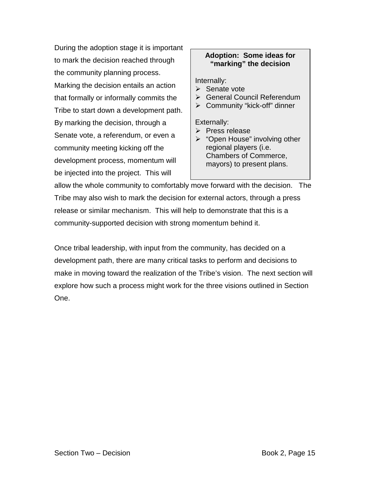During the adoption stage it is important to mark the decision reached through the community planning process. Marking the decision entails an action that formally or informally commits the Tribe to start down a development path. By marking the decision, through a Senate vote, a referendum, or even a community meeting kicking off the development process, momentum will be injected into the project. This will

# **Adoption: Some ideas for "marking" the decision**

Internally:

- $\triangleright$  Senate vote
- ▶ General Council Referendum
- > Community "kick-off" dinner

Externally:

- $\triangleright$  Press release
- $\triangleright$  "Open House" involving other regional players (i.e. Chambers of Commerce, mayors) to present plans.

allow the whole community to comfortably move forward with the decision. The Tribe may also wish to mark the decision for external actors, through a press release or similar mechanism. This will help to demonstrate that this is a community-supported decision with strong momentum behind it.

Once tribal leadership, with input from the community, has decided on a development path, there are many critical tasks to perform and decisions to make in moving toward the realization of the Tribe's vision. The next section will explore how such a process might work for the three visions outlined in Section One.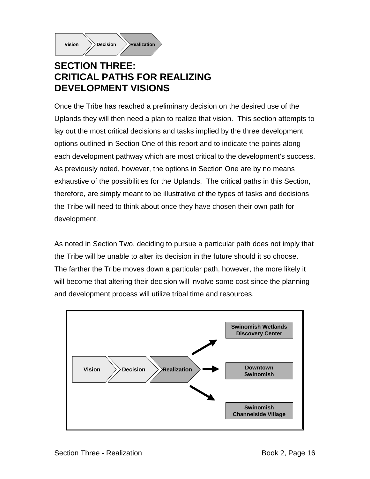

# **SECTION THREE: CRITICAL PATHS FOR REALIZING DEVELOPMENT VISIONS**

Once the Tribe has reached a preliminary decision on the desired use of the Uplands they will then need a plan to realize that vision. This section attempts to lay out the most critical decisions and tasks implied by the three development options outlined in Section One of this report and to indicate the points along each development pathway which are most critical to the development's success. As previously noted, however, the options in Section One are by no means exhaustive of the possibilities for the Uplands. The critical paths in this Section, therefore, are simply meant to be illustrative of the types of tasks and decisions the Tribe will need to think about once they have chosen their own path for development.

As noted in Section Two, deciding to pursue a particular path does not imply that the Tribe will be unable to alter its decision in the future should it so choose. The farther the Tribe moves down a particular path, however, the more likely it will become that altering their decision will involve some cost since the planning and development process will utilize tribal time and resources.

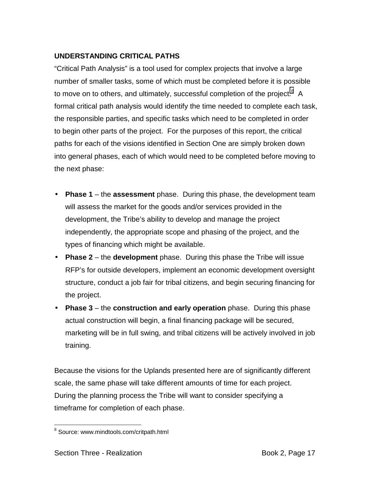# **UNDERSTANDING CRITICAL PATHS**

"Critical Path Analysis" is a tool used for complex projects that involve a large number of smaller tasks, some of which must be completed before it is possible to move on to others, and ultimately, successful completion of the project. $8\,$  A formal critical path analysis would identify the time needed to complete each task, the responsible parties, and specific tasks which need to be completed in order to begin other parts of the project. For the purposes of this report, the critical paths for each of the visions identified in Section One are simply broken down into general phases, each of which would need to be completed before moving to the next phase:

- **Phase 1**  the **assessment** phase. During this phase, the development team will assess the market for the goods and/or services provided in the development, the Tribe's ability to develop and manage the project independently, the appropriate scope and phasing of the project, and the types of financing which might be available.
- **Phase 2**  the **development** phase. During this phase the Tribe will issue RFP's for outside developers, implement an economic development oversight structure, conduct a job fair for tribal citizens, and begin securing financing for the project.
- **Phase 3**  the **construction and early operation** phase. During this phase actual construction will begin, a final financing package will be secured, marketing will be in full swing, and tribal citizens will be actively involved in job training.

Because the visions for the Uplands presented here are of significantly different scale, the same phase will take different amounts of time for each project. During the planning process the Tribe will want to consider specifying a timeframe for completion of each phase.

 $\overline{a}$ 

<sup>&</sup>lt;sup>8</sup> Source: www.mindtools.com/critpath.html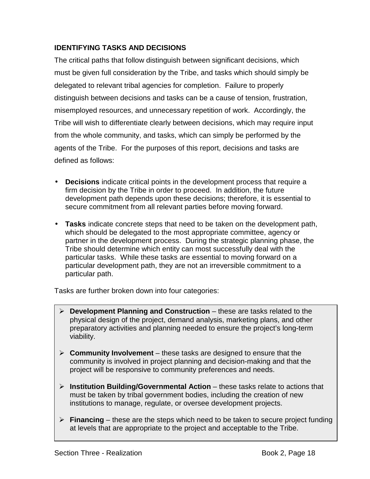# **IDENTIFYING TASKS AND DECISIONS**

The critical paths that follow distinguish between significant decisions, which must be given full consideration by the Tribe, and tasks which should simply be delegated to relevant tribal agencies for completion. Failure to properly distinguish between decisions and tasks can be a cause of tension, frustration, misemployed resources, and unnecessary repetition of work. Accordingly, the Tribe will wish to differentiate clearly between decisions, which may require input from the whole community, and tasks, which can simply be performed by the agents of the Tribe. For the purposes of this report, decisions and tasks are defined as follows:

- **Decisions** indicate critical points in the development process that require a firm decision by the Tribe in order to proceed. In addition, the future development path depends upon these decisions; therefore, it is essential to secure commitment from all relevant parties before moving forward.
- **Tasks** indicate concrete steps that need to be taken on the development path, which should be delegated to the most appropriate committee, agency or partner in the development process. During the strategic planning phase, the Tribe should determine which entity can most successfully deal with the particular tasks. While these tasks are essential to moving forward on a particular development path, they are not an irreversible commitment to a particular path.

Tasks are further broken down into four categories:

- ! **Development Planning and Construction**  these are tasks related to the physical design of the project, demand analysis, marketing plans, and other preparatory activities and planning needed to ensure the project's long-term viability.
- ! **Community Involvement**  these tasks are designed to ensure that the community is involved in project planning and decision-making and that the project will be responsive to community preferences and needs.
- ! **Institution Building/Governmental Action**  these tasks relate to actions that must be taken by tribal government bodies, including the creation of new institutions to manage, regulate, or oversee development projects.
- ! **Financing**  these are the steps which need to be taken to secure project funding at levels that are appropriate to the project and acceptable to the Tribe.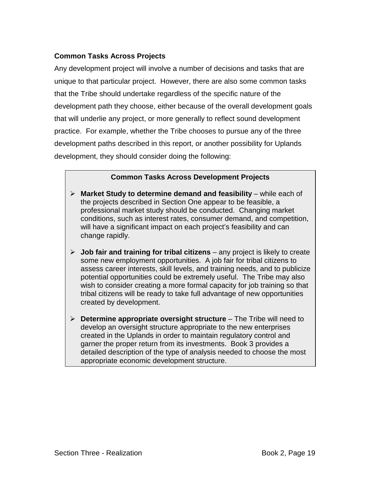# **Common Tasks Across Projects**

Any development project will involve a number of decisions and tasks that are unique to that particular project. However, there are also some common tasks that the Tribe should undertake regardless of the specific nature of the development path they choose, either because of the overall development goals that will underlie any project, or more generally to reflect sound development practice. For example, whether the Tribe chooses to pursue any of the three development paths described in this report, or another possibility for Uplands development, they should consider doing the following:

# **Common Tasks Across Development Projects**

- ! **Market Study to determine demand and feasibility**  while each of the projects described in Section One appear to be feasible, a professional market study should be conducted. Changing market conditions, such as interest rates, consumer demand, and competition, will have a significant impact on each project's feasibility and can change rapidly.
- ! **Job fair and training for tribal citizens**  any project is likely to create some new employment opportunities. A job fair for tribal citizens to assess career interests, skill levels, and training needs, and to publicize potential opportunities could be extremely useful. The Tribe may also wish to consider creating a more formal capacity for job training so that tribal citizens will be ready to take full advantage of new opportunities created by development.
- **EXECUTE:** Determine appropriate oversight structure The Tribe will need to develop an oversight structure appropriate to the new enterprises created in the Uplands in order to maintain regulatory control and garner the proper return from its investments. Book 3 provides a detailed description of the type of analysis needed to choose the most appropriate economic development structure.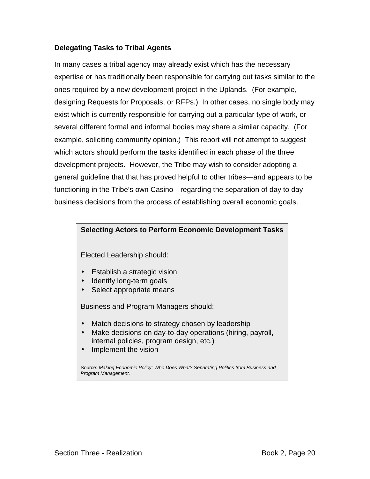# **Delegating Tasks to Tribal Agents**

In many cases a tribal agency may already exist which has the necessary expertise or has traditionally been responsible for carrying out tasks similar to the ones required by a new development project in the Uplands. (For example, designing Requests for Proposals, or RFPs.) In other cases, no single body may exist which is currently responsible for carrying out a particular type of work, or several different formal and informal bodies may share a similar capacity. (For example, soliciting community opinion.) This report will not attempt to suggest which actors should perform the tasks identified in each phase of the three development projects. However, the Tribe may wish to consider adopting a general guideline that that has proved helpful to other tribes—and appears to be functioning in the Tribe's own Casino—regarding the separation of day to day business decisions from the process of establishing overall economic goals.

# **Selecting Actors to Perform Economic Development Tasks**

Elected Leadership should:

- Establish a strategic vision
- Identify long-term goals
- Select appropriate means

Business and Program Managers should:

- Match decisions to strategy chosen by leadership
- Make decisions on day-to-day operations (hiring, payroll, internal policies, program design, etc.)
- Implement the vision

Source: *Making Economic Policy: Who Does What? Separating Politics from Business and Program Management.*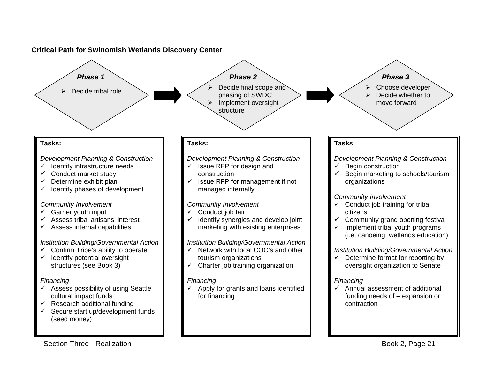### **Critical Path for Swinomish Wetlands Discovery Center**



Section Three - Realization **Book 2, Page 21**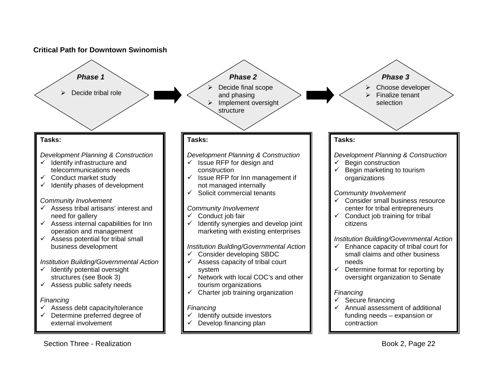#### **Critical Path for Downtown Swinomish**

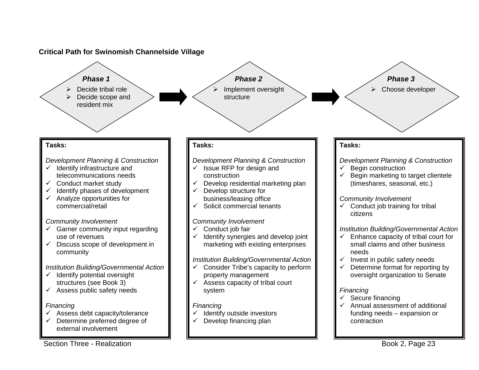# **Critical Path for Swinomish Channelside Village**

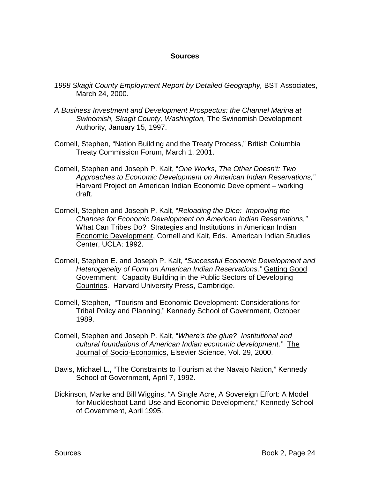### **Sources**

- *1998 Skagit County Employment Report by Detailed Geography,* BST Associates, March 24, 2000.
- *A Business Investment and Development Prospectus: the Channel Marina at Swinomish, Skagit County, Washington,* The Swinomish Development Authority, January 15, 1997.
- Cornell, Stephen, "Nation Building and the Treaty Process," British Columbia Treaty Commission Forum, March 1, 2001.
- Cornell, Stephen and Joseph P. Kalt, "*One Works, The Other Doesn't: Two Approaches to Economic Development on American Indian Reservations,"*  Harvard Project on American Indian Economic Development – working draft.
- Cornell, Stephen and Joseph P. Kalt, "*Reloading the Dice: Improving the Chances for Economic Development on American Indian Reservations,"*  What Can Tribes Do? Strategies and Institutions in American Indian Economic Development, Cornell and Kalt, Eds. American Indian Studies Center, UCLA: 1992.
- Cornell, Stephen E. and Joseph P. Kalt, "*Successful Economic Development and Heterogeneity of Form on American Indian Reservations,"* Getting Good Government: Capacity Building in the Public Sectors of Developing Countries. Harvard University Press, Cambridge.
- Cornell, Stephen, "Tourism and Economic Development: Considerations for Tribal Policy and Planning," Kennedy School of Government, October 1989.
- Cornell, Stephen and Joseph P. Kalt, "*Where's the glue? Institutional and cultural foundations of American Indian economic development,"* The Journal of Socio-Economics, Elsevier Science, Vol. 29, 2000.
- Davis, Michael L., "The Constraints to Tourism at the Navajo Nation," Kennedy School of Government, April 7, 1992.
- Dickinson, Marke and Bill Wiggins, "A Single Acre, A Sovereign Effort: A Model for Muckleshoot Land-Use and Economic Development," Kennedy School of Government, April 1995.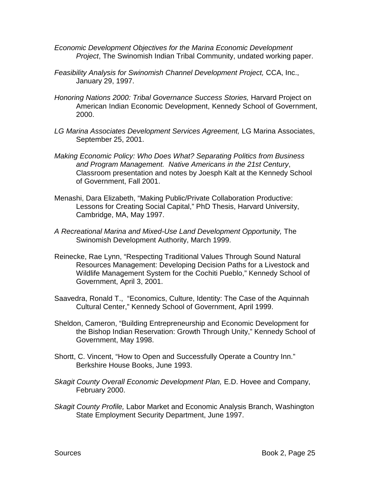- *Economic Development Objectives for the Marina Economic Development Project*, The Swinomish Indian Tribal Community, undated working paper.
- *Feasibility Analysis for Swinomish Channel Development Project,* CCA, Inc., January 29, 1997.
- *Honoring Nations 2000: Tribal Governance Success Stories,* Harvard Project on American Indian Economic Development, Kennedy School of Government, 2000.
- *LG Marina Associates Development Services Agreement,* LG Marina Associates, September 25, 2001.
- *Making Economic Policy: Who Does What? Separating Politics from Business and Program Management. Native Americans in the 21st Century*, Classroom presentation and notes by Joesph Kalt at the Kennedy School of Government, Fall 2001.
- Menashi, Dara Elizabeth, "Making Public/Private Collaboration Productive: Lessons for Creating Social Capital," PhD Thesis, Harvard University, Cambridge, MA, May 1997.
- *A Recreational Marina and Mixed-Use Land Development Opportunity,* The Swinomish Development Authority, March 1999.
- Reinecke, Rae Lynn, "Respecting Traditional Values Through Sound Natural Resources Management: Developing Decision Paths for a Livestock and Wildlife Management System for the Cochiti Pueblo," Kennedy School of Government, April 3, 2001.
- Saavedra, Ronald T., "Economics, Culture, Identity: The Case of the Aquinnah Cultural Center," Kennedy School of Government, April 1999.
- Sheldon, Cameron, "Building Entrepreneurship and Economic Development for the Bishop Indian Reservation: Growth Through Unity," Kennedy School of Government, May 1998.
- Shortt, C. Vincent, "How to Open and Successfully Operate a Country Inn." Berkshire House Books, June 1993.
- *Skagit County Overall Economic Development Plan,* E.D. Hovee and Company, February 2000.
- *Skagit County Profile,* Labor Market and Economic Analysis Branch, Washington State Employment Security Department, June 1997.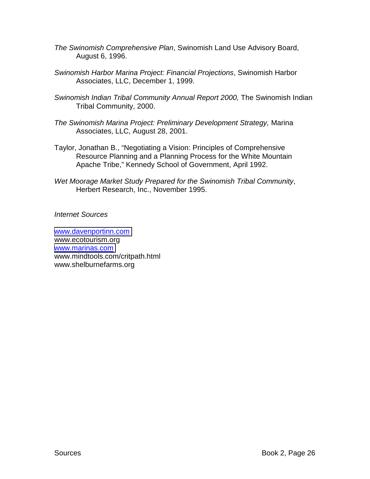- *The Swinomish Comprehensive Plan*, Swinomish Land Use Advisory Board, August 6, 1996.
- *Swinomish Harbor Marina Project: Financial Projections*, Swinomish Harbor Associates, LLC, December 1, 1999.
- *Swinomish Indian Tribal Community Annual Report 2000, The Swinomish Indian* Tribal Community, 2000.
- *The Swinomish Marina Project: Preliminary Development Strategy,* Marina Associates, LLC, August 28, 2001.
- Taylor, Jonathan B., "Negotiating a Vision: Principles of Comprehensive Resource Planning and a Planning Process for the White Mountain Apache Tribe," Kennedy School of Government, April 1992.
- *Wet Moorage Market Study Prepared for the Swinomish Tribal Community*, Herbert Research, Inc., November 1995.

*Internet Sources* 

[www.davenportinn.com](http://www.davenportinn.com/) www.ecotourism.org [www.marinas.com](http://www.marinas.com/) www.mindtools.com/critpath.html www.shelburnefarms.org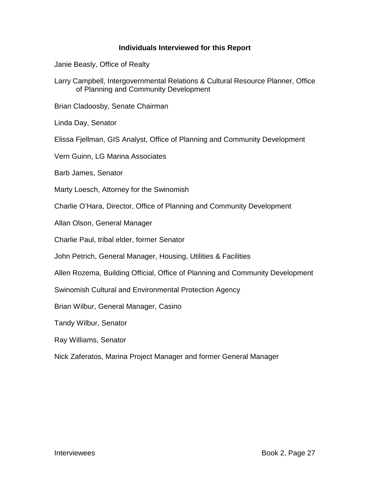### **Individuals Interviewed for this Report**

Janie Beasly, Office of Realty

Larry Campbell, Intergovernmental Relations & Cultural Resource Planner, Office of Planning and Community Development

Brian Cladoosby, Senate Chairman

Linda Day, Senator

Elissa Fjellman, GIS Analyst, Office of Planning and Community Development

Vern Guinn, LG Marina Associates

Barb James, Senator

Marty Loesch, Attorney for the Swinomish

Charlie O'Hara, Director, Office of Planning and Community Development

Allan Olson, General Manager

Charlie Paul, tribal elder, former Senator

John Petrich, General Manager, Housing, Utilities & Facilities

Allen Rozema, Building Official, Office of Planning and Community Development

Swinomish Cultural and Environmental Protection Agency

Brian Wilbur, General Manager, Casino

Tandy Wilbur, Senator

Ray Williams, Senator

Nick Zaferatos, Marina Project Manager and former General Manager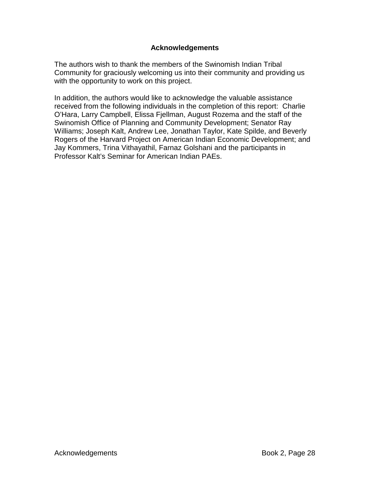## **Acknowledgements**

The authors wish to thank the members of the Swinomish Indian Tribal Community for graciously welcoming us into their community and providing us with the opportunity to work on this project.

In addition, the authors would like to acknowledge the valuable assistance received from the following individuals in the completion of this report: Charlie O'Hara, Larry Campbell, Elissa Fjellman, August Rozema and the staff of the Swinomish Office of Planning and Community Development; Senator Ray Williams; Joseph Kalt, Andrew Lee, Jonathan Taylor, Kate Spilde, and Beverly Rogers of the Harvard Project on American Indian Economic Development; and Jay Kommers, Trina Vithayathil, Farnaz Golshani and the participants in Professor Kalt's Seminar for American Indian PAEs.